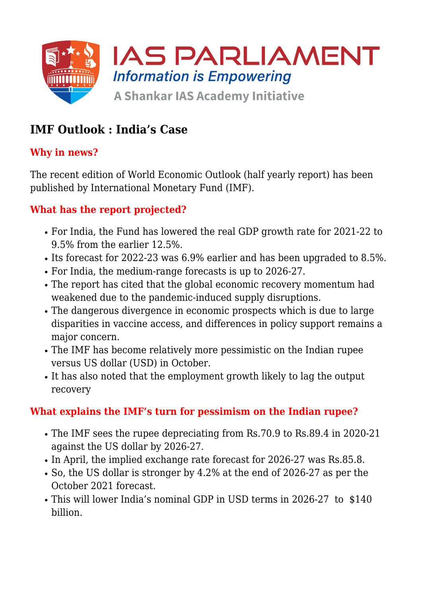

## **IMF Outlook : India's Case**

### **Why in news?**

The recent edition of World Economic Outlook (half yearly report) has been published by International Monetary Fund (IMF).

### **What has the report projected?**

- For India, the Fund has lowered the real GDP growth rate for 2021-22 to 9.5% from the earlier 12.5%.
- Its forecast for 2022-23 was 6.9% earlier and has been upgraded to 8.5%.
- For India, the medium-range forecasts is up to 2026-27.
- The report has cited that the global economic recovery momentum had weakened due to the pandemic-induced supply disruptions.
- The dangerous divergence in economic prospects which is due to large disparities in vaccine access, and differences in policy support remains a major concern.
- The IMF has become relatively more pessimistic on the Indian rupee versus US dollar (USD) in October.
- It has also noted that the employment growth likely to lag the output recovery

### **What explains the IMF's turn for pessimism on the Indian rupee?**

- The IMF sees the rupee depreciating from Rs.70.9 to Rs.89.4 in 2020-21 against the US dollar by 2026-27.
- In April, the implied exchange rate forecast for 2026-27 was Rs.85.8.
- So, the US dollar is stronger by 4.2% at the end of 2026-27 as per the October 2021 forecast.
- This will lower India's nominal GDP in USD terms in 2026-27 to \$140 billion.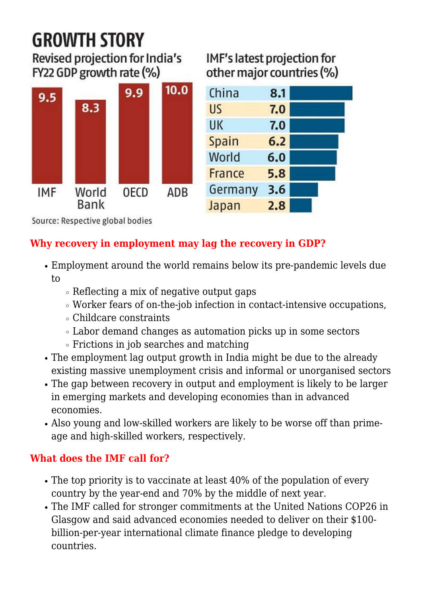# **GROWTH STORY**

Revised projection for India's FY22 GDP growth rate (%)



## IMF's latest projection for other major countries (%)



Source: Respective global bodies

## **Why recovery in employment may lag the recovery in GDP?**

- Employment around the world remains below its pre-pandemic levels due to
	- $\circ$  Reflecting a mix of negative output gaps
	- Worker fears of on-the-job infection in contact-intensive occupations,
	- Childcare constraints
	- Labor demand changes as automation picks up in some sectors
	- Frictions in job searches and matching
- The employment lag output growth in India might be due to the already existing massive unemployment crisis and informal or unorganised sectors
- The gap between recovery in output and employment is likely to be larger in emerging markets and developing economies than in advanced economies.
- Also young and low-skilled workers are likely to be worse off than primeage and high-skilled workers, respectively.

## **What does the IMF call for?**

- The top priority is to vaccinate at least 40% of the population of every country by the year-end and 70% by the middle of next year.
- The IMF called for stronger commitments at the United Nations COP26 in Glasgow and said advanced economies needed to deliver on their \$100 billion-per-year international climate finance pledge to developing countries.